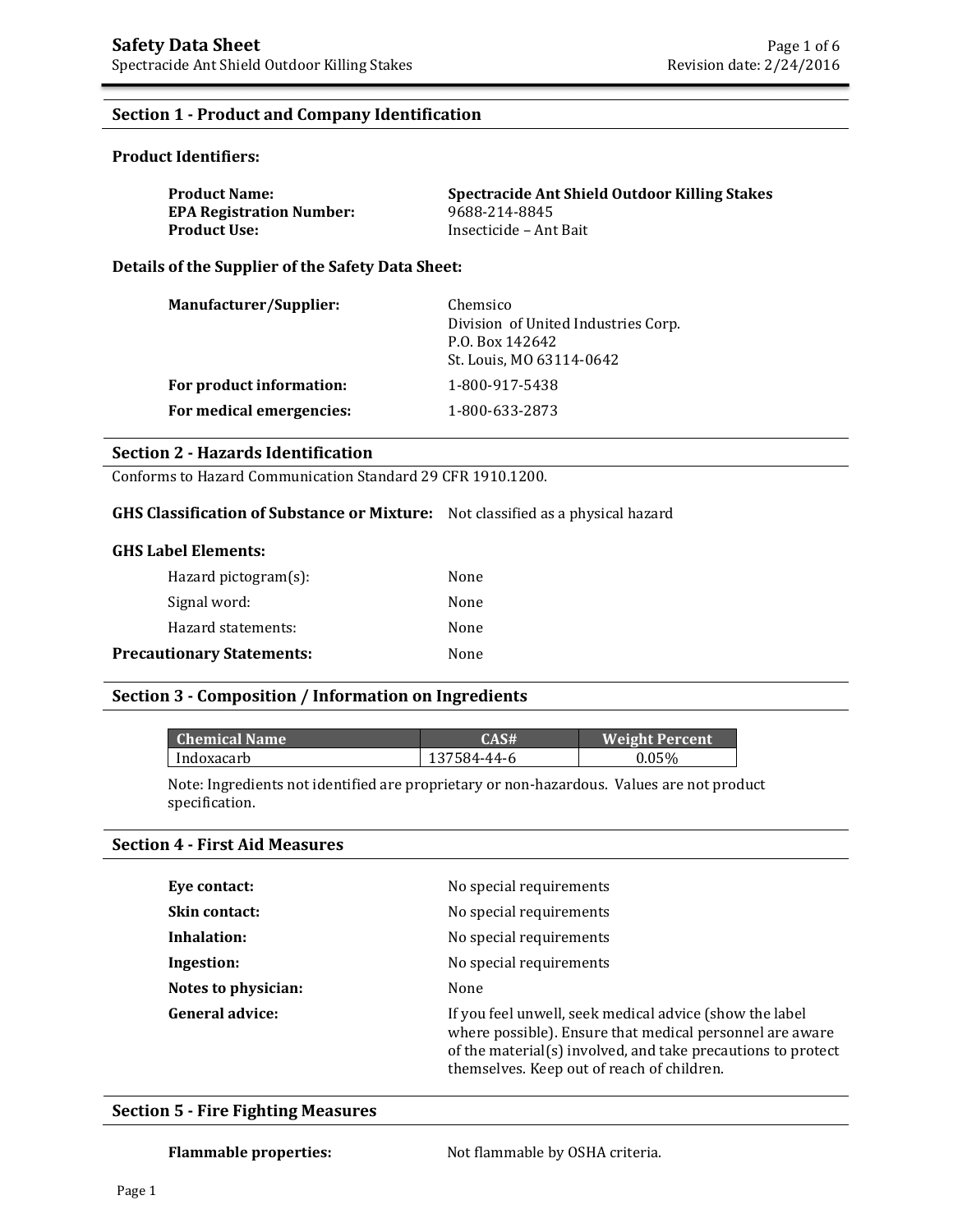### **Section 1 - Product and Company Identification**

#### **Product Identifiers:**

| <b>Product Name:</b>            | Spectracide Ant Shield Outdoor Killing Stakes |
|---------------------------------|-----------------------------------------------|
| <b>EPA Registration Number:</b> | 9688-214-8845                                 |
| Product Use: \                  | Insecticide – Ant Bait                        |

**Details of the Supplier of the Safety Data Sheet:** 

| Manufacturer/Supplier:   | Chemsico<br>Division of United Industries Corp.<br>P.O. Box 142642<br>St. Louis, MO 63114-0642 |
|--------------------------|------------------------------------------------------------------------------------------------|
| For product information: | 1-800-917-5438                                                                                 |
| For medical emergencies: | 1-800-633-2873                                                                                 |

#### **Section 2 - Hazards Identification**

Conforms to Hazard Communication Standard 29 CFR 1910.1200.

## **GHS Classification of Substance or Mixture:** Not classified as a physical hazard

#### **GHS Label Elements:**

| Hazard pictogram $(s)$ :         | None |
|----------------------------------|------|
| Signal word:                     | None |
| Hazard statements:               | None |
| <b>Precautionary Statements:</b> | None |

#### **Section 3 - Composition / Information on Ingredients**

| Chemical Name | CAS#        | <b>Weight Percent</b> |
|---------------|-------------|-----------------------|
| Indoxacarb    | 137584-44-6 | 0.05%                 |

Note: Ingredients not identified are proprietary or non-hazardous. Values are not product specification.

#### **Section 4 - First Aid Measures**

| Eye contact:           | No special requirements                                                                                                                                                                                                           |
|------------------------|-----------------------------------------------------------------------------------------------------------------------------------------------------------------------------------------------------------------------------------|
| Skin contact:          | No special requirements                                                                                                                                                                                                           |
| Inhalation:            | No special requirements                                                                                                                                                                                                           |
| Ingestion:             | No special requirements                                                                                                                                                                                                           |
| Notes to physician:    | None                                                                                                                                                                                                                              |
| <b>General advice:</b> | If you feel unwell, seek medical advice (show the label<br>where possible). Ensure that medical personnel are aware<br>of the material(s) involved, and take precautions to protect<br>themselves. Keep out of reach of children. |

#### **Section 5 - Fire Fighting Measures**

Flammable properties: Not flammable by OSHA criteria.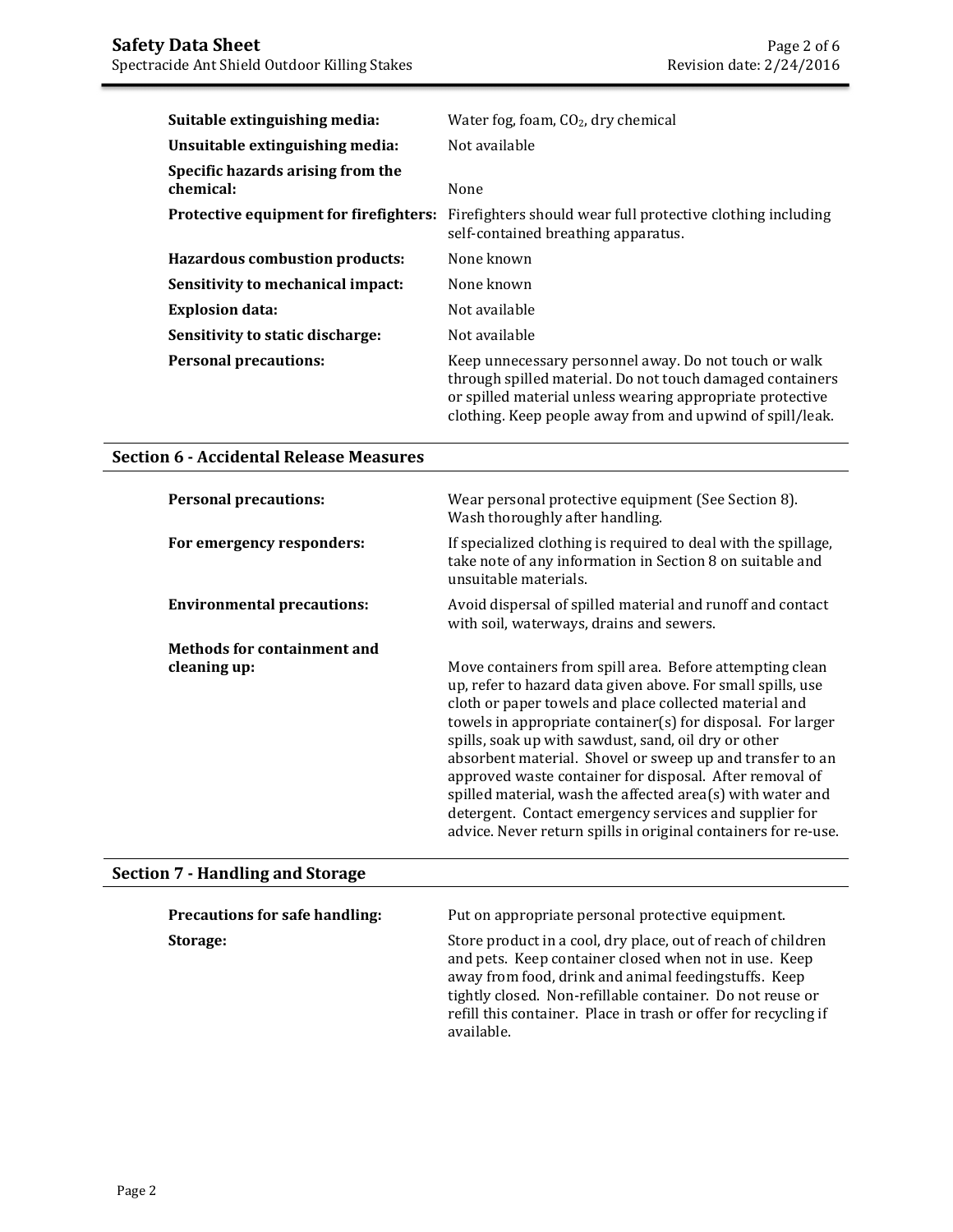| Suitable extinguishing media:                  | Water fog, foam, $CO2$ , dry chemical                                                                                                                                                                                                        |
|------------------------------------------------|----------------------------------------------------------------------------------------------------------------------------------------------------------------------------------------------------------------------------------------------|
| Unsuitable extinguishing media:                | Not available                                                                                                                                                                                                                                |
| Specific hazards arising from the<br>chemical: | None                                                                                                                                                                                                                                         |
| Protective equipment for firefighters:         | Firefighters should wear full protective clothing including<br>self-contained breathing apparatus.                                                                                                                                           |
| Hazardous combustion products:                 | None known                                                                                                                                                                                                                                   |
| Sensitivity to mechanical impact:              | None known                                                                                                                                                                                                                                   |
| <b>Explosion data:</b>                         | Not available                                                                                                                                                                                                                                |
| Sensitivity to static discharge:               | Not available                                                                                                                                                                                                                                |
| <b>Personal precautions:</b>                   | Keep unnecessary personnel away. Do not touch or walk<br>through spilled material. Do not touch damaged containers<br>or spilled material unless wearing appropriate protective<br>clothing. Keep people away from and upwind of spill/leak. |

## **Section 6 - Accidental Release Measures**

| <b>Personal precautions:</b>       | Wear personal protective equipment (See Section 8).<br>Wash thoroughly after handling.                                                                                                                                                                                                                                                                                                                                                                                                                                                                                                                                     |
|------------------------------------|----------------------------------------------------------------------------------------------------------------------------------------------------------------------------------------------------------------------------------------------------------------------------------------------------------------------------------------------------------------------------------------------------------------------------------------------------------------------------------------------------------------------------------------------------------------------------------------------------------------------------|
| For emergency responders:          | If specialized clothing is required to deal with the spillage,<br>take note of any information in Section 8 on suitable and<br>unsuitable materials.                                                                                                                                                                                                                                                                                                                                                                                                                                                                       |
| <b>Environmental precautions:</b>  | Avoid dispersal of spilled material and runoff and contact<br>with soil, waterways, drains and sewers.                                                                                                                                                                                                                                                                                                                                                                                                                                                                                                                     |
| <b>Methods for containment and</b> |                                                                                                                                                                                                                                                                                                                                                                                                                                                                                                                                                                                                                            |
| cleaning up:                       | Move containers from spill area. Before attempting clean<br>up, refer to hazard data given above. For small spills, use<br>cloth or paper towels and place collected material and<br>towels in appropriate container(s) for disposal. For larger<br>spills, soak up with sawdust, sand, oil dry or other<br>absorbent material. Shovel or sweep up and transfer to an<br>approved waste container for disposal. After removal of<br>spilled material, wash the affected area(s) with water and<br>detergent. Contact emergency services and supplier for<br>advice. Never return spills in original containers for re-use. |

# **Section 7 - Handling and Storage**

| <b>Precautions for safe handling:</b> | Put on appropriate personal protective equipment.                                                                                                                                                                                                                                                                           |
|---------------------------------------|-----------------------------------------------------------------------------------------------------------------------------------------------------------------------------------------------------------------------------------------------------------------------------------------------------------------------------|
| Storage:                              | Store product in a cool, dry place, out of reach of children<br>and pets. Keep container closed when not in use. Keep<br>away from food, drink and animal feedingstuffs. Keep<br>tightly closed. Non-refillable container. Do not reuse or<br>refill this container. Place in trash or offer for recycling if<br>available. |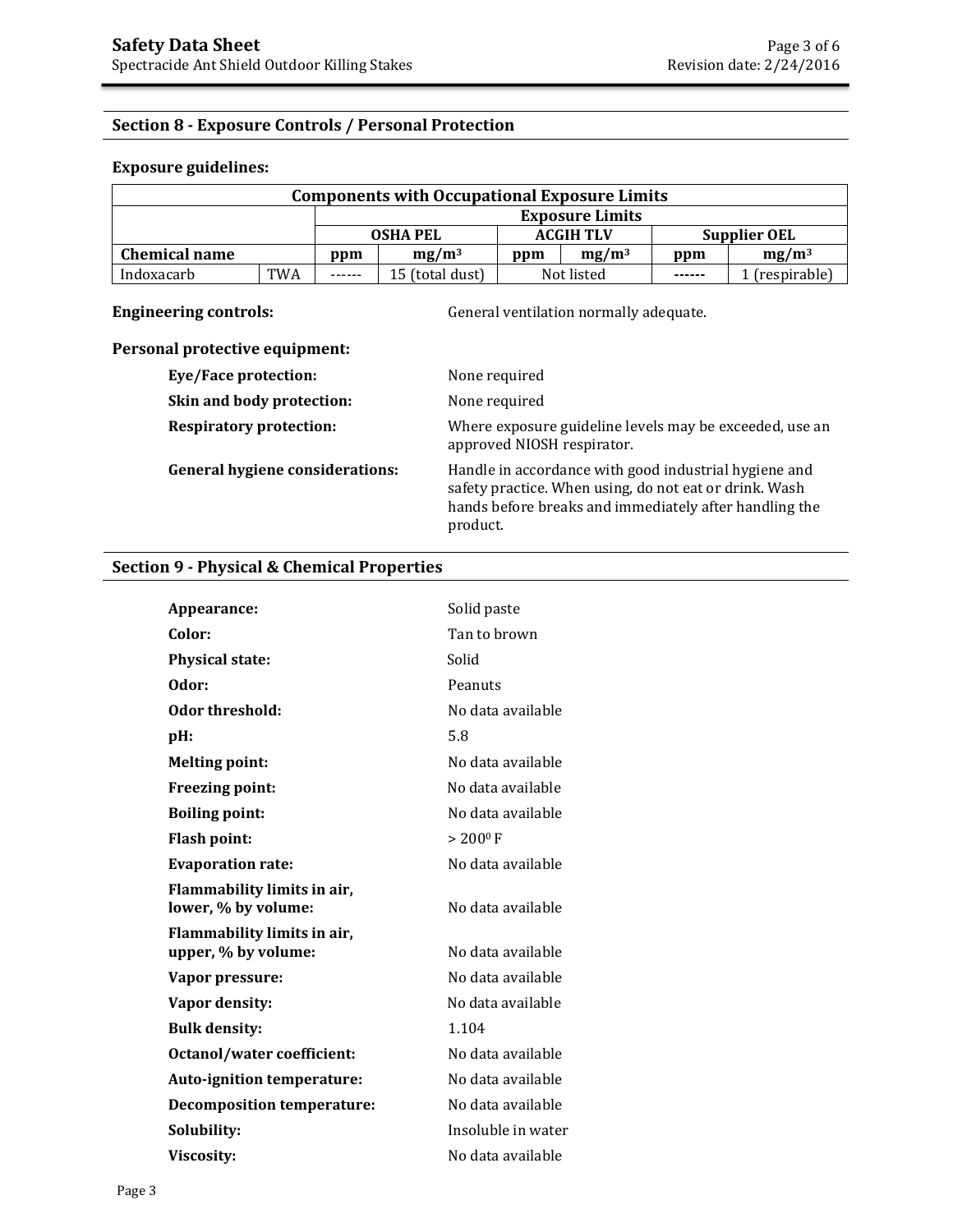# **Section 8 - Exposure Controls / Personal Protection**

#### **Exposure guidelines:**

| <b>Components with Occupational Exposure Limits</b> |            |                 |                 |                  |            |                     |              |
|-----------------------------------------------------|------------|-----------------|-----------------|------------------|------------|---------------------|--------------|
| <b>Exposure Limits</b>                              |            |                 |                 |                  |            |                     |              |
|                                                     |            | <b>OSHA PEL</b> |                 | <b>ACGIH TLV</b> |            | <b>Supplier OEL</b> |              |
| <b>Chemical name</b>                                |            | ppm             | $mg/m^3$        | ppm              | $mg/m^3$   | ppm                 | $mg/m^3$     |
| Indoxacarb                                          | <b>TWA</b> | ------          | 15 (total dust) |                  | Not listed | $- - - - - -$       | (respirable) |

**Engineering controls: Controls: General ventilation normally adequate.** 

# **Personal protective equipment:**

| <b>Eye/Face protection:</b>            | None required                                                                                                                                                                         |
|----------------------------------------|---------------------------------------------------------------------------------------------------------------------------------------------------------------------------------------|
| Skin and body protection:              | None required                                                                                                                                                                         |
| <b>Respiratory protection:</b>         | Where exposure guideline levels may be exceeded, use an<br>approved NIOSH respirator.                                                                                                 |
| <b>General hygiene considerations:</b> | Handle in accordance with good industrial hygiene and<br>safety practice. When using, do not eat or drink. Wash<br>hands before breaks and immediately after handling the<br>product. |

### **Section 9 - Physical & Chemical Properties**

| Appearance:                                        | Solid paste        |
|----------------------------------------------------|--------------------|
| Color:                                             | Tan to brown       |
| <b>Physical state:</b>                             | Solid              |
| Odor:                                              | Peanuts            |
| Odor threshold:                                    | No data available  |
| pH:                                                | 5.8                |
| <b>Melting point:</b>                              | No data available  |
| <b>Freezing point:</b>                             | No data available  |
| <b>Boiling point:</b>                              | No data available  |
| <b>Flash point:</b>                                | $> 200^{\circ}$ F  |
| <b>Evaporation rate:</b>                           | No data available  |
| Flammability limits in air,<br>lower, % by volume: | No data available  |
| Flammability limits in air,<br>upper, % by volume: | No data available  |
| Vapor pressure:                                    | No data available  |
| Vapor density:                                     | No data available  |
| <b>Bulk density:</b>                               | 1.104              |
| <b>Octanol/water coefficient:</b>                  | No data available  |
| Auto-ignition temperature:                         | No data available  |
| <b>Decomposition temperature:</b>                  | No data available  |
| Solubility:                                        | Insoluble in water |
| Viscosity:                                         | No data available  |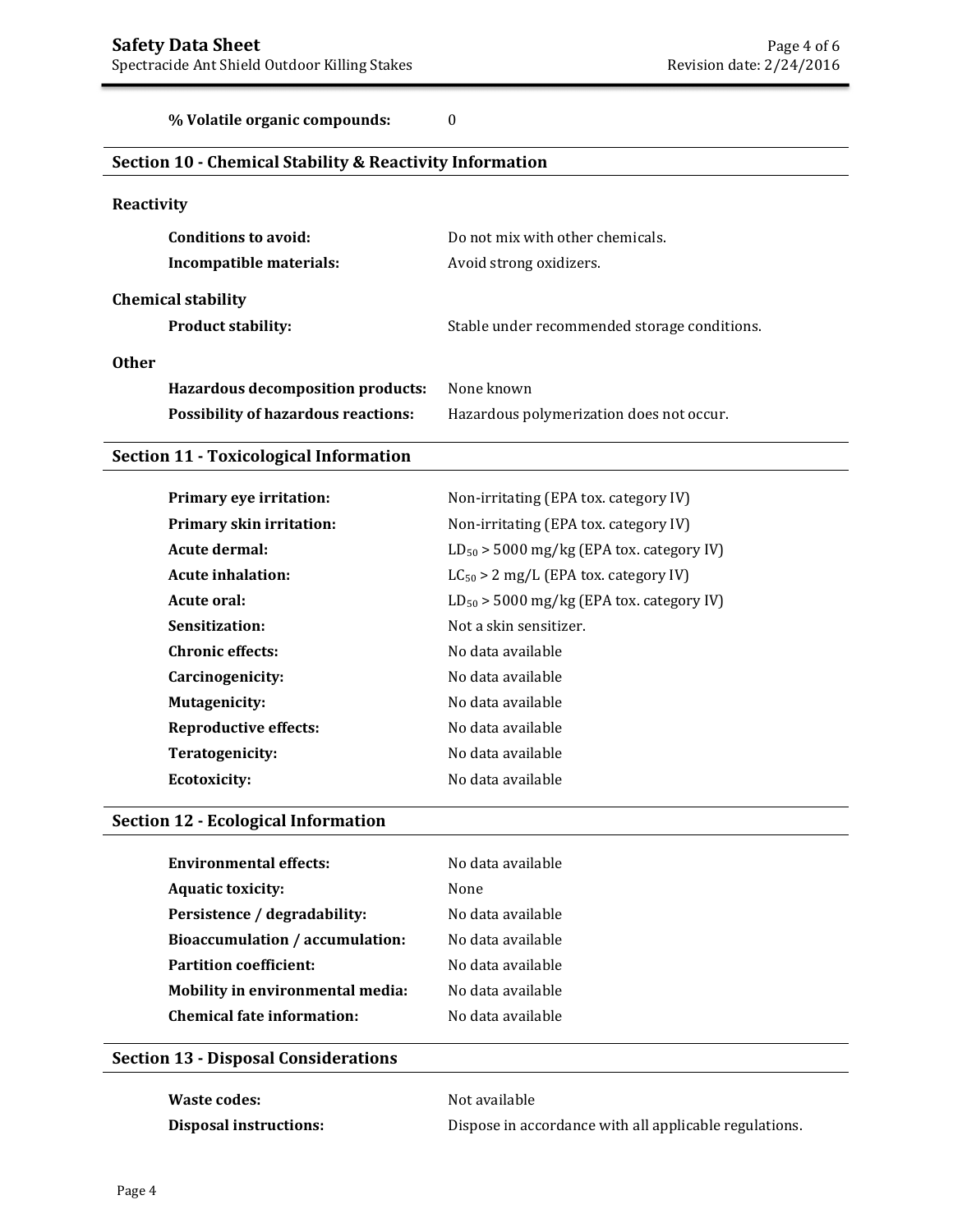**% Volatile organic compounds:** 0

# **Section 10 - Chemical Stability & Reactivity Information**

### **Reactivity**

| Conditions to avoid:                       | Do not mix with other chemicals.             |
|--------------------------------------------|----------------------------------------------|
| Incompatible materials:                    | Avoid strong oxidizers.                      |
| <b>Chemical stability</b>                  |                                              |
| <b>Product stability:</b>                  | Stable under recommended storage conditions. |
| <b>Other</b>                               |                                              |
| <b>Hazardous decomposition products:</b>   | None known                                   |
| <b>Possibility of hazardous reactions:</b> | Hazardous polymerization does not occur.     |

### **Section 11 - Toxicological Information**

| Primary eye irritation:         | Non-irritating (EPA tox. category IV)         |
|---------------------------------|-----------------------------------------------|
| <b>Primary skin irritation:</b> | Non-irritating (EPA tox. category IV)         |
| Acute dermal:                   | $LD_{50}$ > 5000 mg/kg (EPA tox. category IV) |
| Acute inhalation:               | $LC_{50} > 2$ mg/L (EPA tox. category IV)     |
| Acute oral:                     | $LD_{50}$ > 5000 mg/kg (EPA tox. category IV) |
| Sensitization:                  | Not a skin sensitizer.                        |
| <b>Chronic effects:</b>         | No data available                             |
| Carcinogenicity:                | No data available                             |
| Mutagenicity:                   | No data available                             |
| <b>Reproductive effects:</b>    | No data available                             |
| Teratogenicity:                 | No data available                             |
| Ecotoxicity:                    | No data available                             |
|                                 |                                               |

# **Section 12 - Ecological Information**

| <b>Environmental effects:</b>     | No data available |
|-----------------------------------|-------------------|
| <b>Aquatic toxicity:</b>          | None              |
| Persistence / degradability:      | No data available |
| Bioaccumulation / accumulation:   | No data available |
| <b>Partition coefficient:</b>     | No data available |
| Mobility in environmental media:  | No data available |
| <b>Chemical fate information:</b> | No data available |
|                                   |                   |

# **Section 13 - Disposal Considerations**

| <b>Waste codes:</b>    | Not available                                          |
|------------------------|--------------------------------------------------------|
| Disposal instructions: | Dispose in accordance with all applicable regulations. |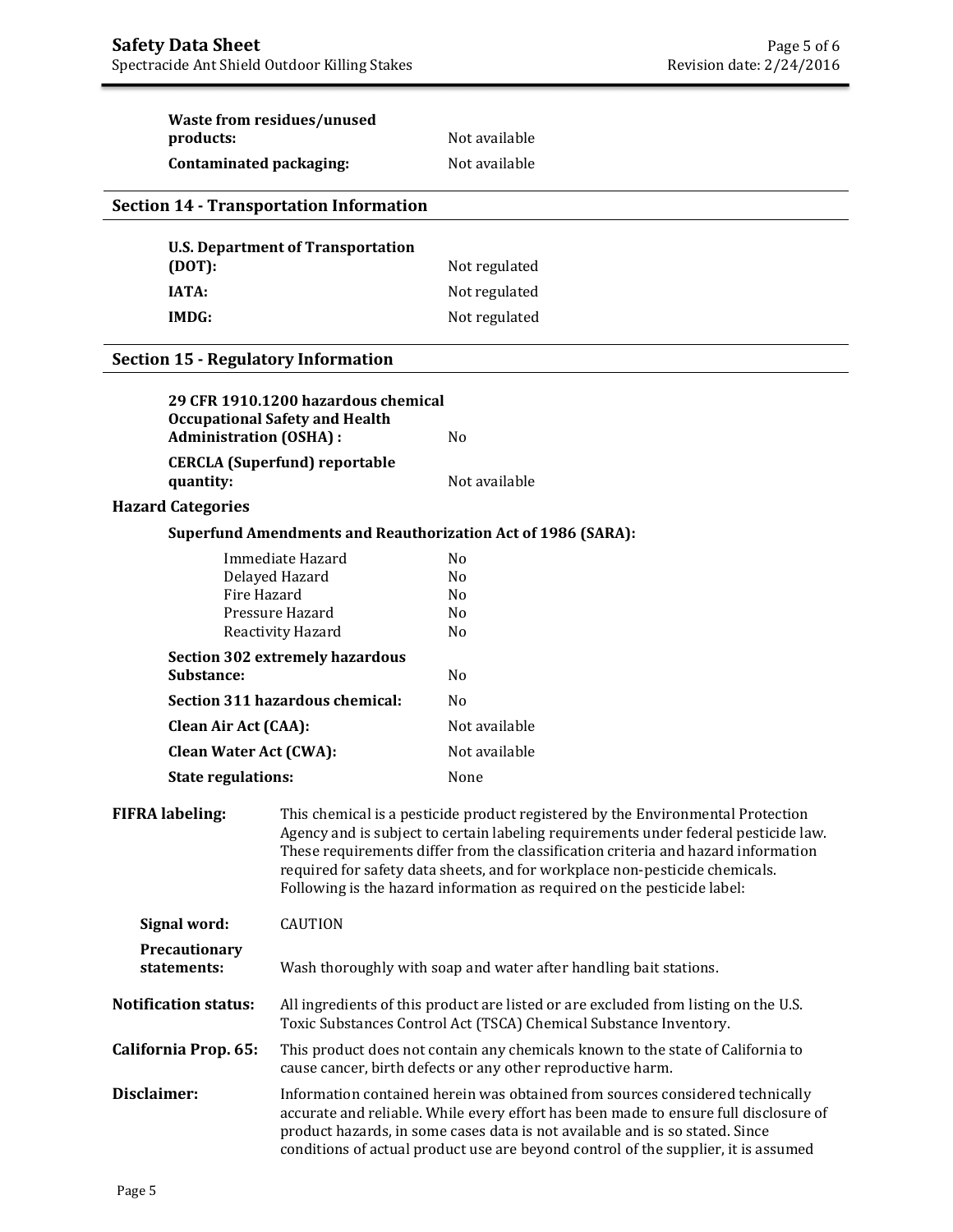| products:                                                                    | <b>Waste from residues/unused</b>                                                                                                                                                                                                                                                                                                                                                                                     | Not available                                                       |  |  |
|------------------------------------------------------------------------------|-----------------------------------------------------------------------------------------------------------------------------------------------------------------------------------------------------------------------------------------------------------------------------------------------------------------------------------------------------------------------------------------------------------------------|---------------------------------------------------------------------|--|--|
| <b>Contaminated packaging:</b>                                               |                                                                                                                                                                                                                                                                                                                                                                                                                       | Not available                                                       |  |  |
|                                                                              |                                                                                                                                                                                                                                                                                                                                                                                                                       |                                                                     |  |  |
|                                                                              | <b>Section 14 - Transportation Information</b>                                                                                                                                                                                                                                                                                                                                                                        |                                                                     |  |  |
|                                                                              | <b>U.S. Department of Transportation</b>                                                                                                                                                                                                                                                                                                                                                                              |                                                                     |  |  |
| (DOT):                                                                       |                                                                                                                                                                                                                                                                                                                                                                                                                       | Not regulated                                                       |  |  |
| <b>IATA:</b>                                                                 |                                                                                                                                                                                                                                                                                                                                                                                                                       | Not regulated                                                       |  |  |
| <b>IMDG:</b>                                                                 |                                                                                                                                                                                                                                                                                                                                                                                                                       | Not regulated                                                       |  |  |
| <b>Section 15 - Regulatory Information</b>                                   |                                                                                                                                                                                                                                                                                                                                                                                                                       |                                                                     |  |  |
| 29 CFR 1910.1200 hazardous chemical<br><b>Occupational Safety and Health</b> |                                                                                                                                                                                                                                                                                                                                                                                                                       |                                                                     |  |  |
| <b>Administration (OSHA):</b>                                                |                                                                                                                                                                                                                                                                                                                                                                                                                       | N <sub>o</sub>                                                      |  |  |
| quantity:                                                                    | <b>CERCLA (Superfund) reportable</b>                                                                                                                                                                                                                                                                                                                                                                                  | Not available                                                       |  |  |
| <b>Hazard Categories</b>                                                     |                                                                                                                                                                                                                                                                                                                                                                                                                       |                                                                     |  |  |
|                                                                              |                                                                                                                                                                                                                                                                                                                                                                                                                       | <b>Superfund Amendments and Reauthorization Act of 1986 (SARA):</b> |  |  |
|                                                                              | Immediate Hazard                                                                                                                                                                                                                                                                                                                                                                                                      | N <sub>0</sub>                                                      |  |  |
| Fire Hazard                                                                  | Delayed Hazard                                                                                                                                                                                                                                                                                                                                                                                                        | N <sub>0</sub><br>N <sub>0</sub>                                    |  |  |
|                                                                              | Pressure Hazard                                                                                                                                                                                                                                                                                                                                                                                                       | N <sub>0</sub>                                                      |  |  |
|                                                                              | Reactivity Hazard                                                                                                                                                                                                                                                                                                                                                                                                     | N <sub>0</sub>                                                      |  |  |
| Substance:                                                                   | <b>Section 302 extremely hazardous</b>                                                                                                                                                                                                                                                                                                                                                                                | N <sub>o</sub>                                                      |  |  |
|                                                                              | Section 311 hazardous chemical:                                                                                                                                                                                                                                                                                                                                                                                       | No                                                                  |  |  |
| <b>Clean Air Act (CAA):</b>                                                  |                                                                                                                                                                                                                                                                                                                                                                                                                       | Not available                                                       |  |  |
| <b>Clean Water Act (CWA):</b>                                                |                                                                                                                                                                                                                                                                                                                                                                                                                       | Not available                                                       |  |  |
| <b>State regulations:</b>                                                    |                                                                                                                                                                                                                                                                                                                                                                                                                       | None                                                                |  |  |
| <b>FIFRA labeling:</b>                                                       | This chemical is a pesticide product registered by the Environmental Protection<br>Agency and is subject to certain labeling requirements under federal pesticide law.<br>These requirements differ from the classification criteria and hazard information<br>required for safety data sheets, and for workplace non-pesticide chemicals.<br>Following is the hazard information as required on the pesticide label: |                                                                     |  |  |
| <b>CAUTION</b><br>Signal word:                                               |                                                                                                                                                                                                                                                                                                                                                                                                                       |                                                                     |  |  |
| Precautionary<br>statements:                                                 |                                                                                                                                                                                                                                                                                                                                                                                                                       | Wash thoroughly with soap and water after handling bait stations.   |  |  |
| <b>Notification status:</b>                                                  | All ingredients of this product are listed or are excluded from listing on the U.S.<br>Toxic Substances Control Act (TSCA) Chemical Substance Inventory.                                                                                                                                                                                                                                                              |                                                                     |  |  |
| California Prop. 65:                                                         | This product does not contain any chemicals known to the state of California to<br>cause cancer, birth defects or any other reproductive harm.                                                                                                                                                                                                                                                                        |                                                                     |  |  |
| Disclaimer:                                                                  | Information contained herein was obtained from sources considered technically<br>accurate and reliable. While every effort has been made to ensure full disclosure of<br>product hazards, in some cases data is not available and is so stated. Since<br>conditions of actual product use are beyond control of the supplier, it is assumed                                                                           |                                                                     |  |  |